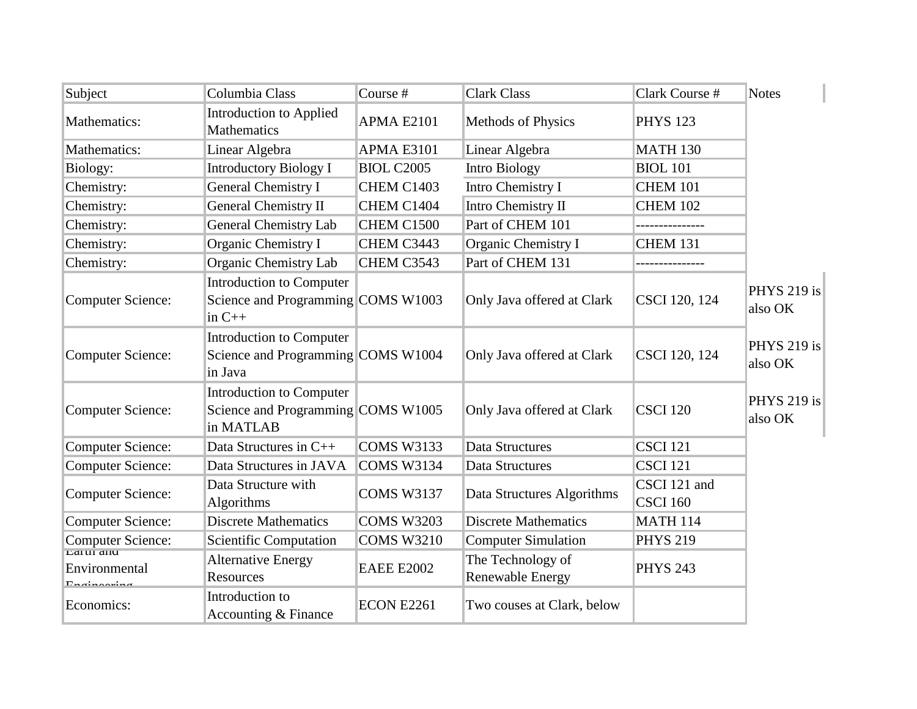| Subject                             | Columbia Class                                                                     | Course #          | <b>Clark Class</b>                           | Clark Course #  | <b>Notes</b>                  |
|-------------------------------------|------------------------------------------------------------------------------------|-------------------|----------------------------------------------|-----------------|-------------------------------|
| Mathematics:                        | <b>Introduction to Applied</b><br><b>Mathematics</b>                               | <b>APMA E2101</b> | <b>Methods of Physics</b>                    | <b>PHYS 123</b> |                               |
| Mathematics:                        | Linear Algebra                                                                     | <b>APMA E3101</b> | Linear Algebra                               | <b>MATH 130</b> |                               |
| Biology:                            | <b>Introductory Biology I</b>                                                      | <b>BIOL C2005</b> | <b>Intro Biology</b>                         | <b>BIOL 101</b> |                               |
| Chemistry:                          | <b>General Chemistry I</b>                                                         | CHEM C1403        | Intro Chemistry I                            | <b>CHEM 101</b> |                               |
| Chemistry:                          | <b>General Chemistry II</b>                                                        | CHEM C1404        | Intro Chemistry II                           | <b>CHEM 102</b> |                               |
| Chemistry:                          | <b>General Chemistry Lab</b>                                                       | CHEM C1500        | Part of CHEM 101                             |                 |                               |
| Chemistry:                          | Organic Chemistry I                                                                | CHEM C3443        | Organic Chemistry I                          | <b>CHEM 131</b> |                               |
| Chemistry:                          | Organic Chemistry Lab                                                              | CHEM C3543        | Part of CHEM 131                             |                 |                               |
| Computer Science:                   | <b>Introduction to Computer</b><br>Science and Programming COMS W1003<br>in $C++$  |                   | Only Java offered at Clark                   | CSCI 120, 124   | <b>PHYS 219 is</b><br>also OK |
| Computer Science:                   | <b>Introduction to Computer</b><br>Science and Programming COMS W1004<br>in Java   |                   | Only Java offered at Clark                   | CSCI 120, 124   | PHYS 219 is<br>also OK        |
| Computer Science:                   | <b>Introduction to Computer</b><br>Science and Programming COMS W1005<br>in MATLAB |                   | Only Java offered at Clark                   | <b>CSCI 120</b> | PHYS 219 is<br>also OK        |
| Computer Science:                   | Data Structures in C++                                                             | <b>COMS W3133</b> | <b>Data Structures</b>                       | <b>CSCI 121</b> |                               |
| <b>Computer Science:</b>            | Data Structures in JAVA                                                            | <b>COMS W3134</b> | <b>Data Structures</b>                       | <b>CSCI 121</b> |                               |
| Computer Science:                   | Data Structure with                                                                |                   |                                              | CSCI 121 and    |                               |
|                                     | Algorithms                                                                         | <b>COMS W3137</b> | Data Structures Algorithms                   | <b>CSCI 160</b> |                               |
| <b>Computer Science:</b>            | <b>Discrete Mathematics</b>                                                        | <b>COMS W3203</b> | <b>Discrete Mathematics</b>                  | <b>MATH 114</b> |                               |
| Computer Science:<br>Laturanu       | <b>Scientific Computation</b>                                                      | <b>COMS W3210</b> | <b>Computer Simulation</b>                   | <b>PHYS 219</b> |                               |
| Environmental<br><b>Ensinaasina</b> | <b>Alternative Energy</b><br>Resources                                             | <b>EAEE E2002</b> | The Technology of<br><b>Renewable Energy</b> | <b>PHYS 243</b> |                               |
| Economics:                          | Introduction to<br>Accounting & Finance                                            | <b>ECON E2261</b> | Two couses at Clark, below                   |                 |                               |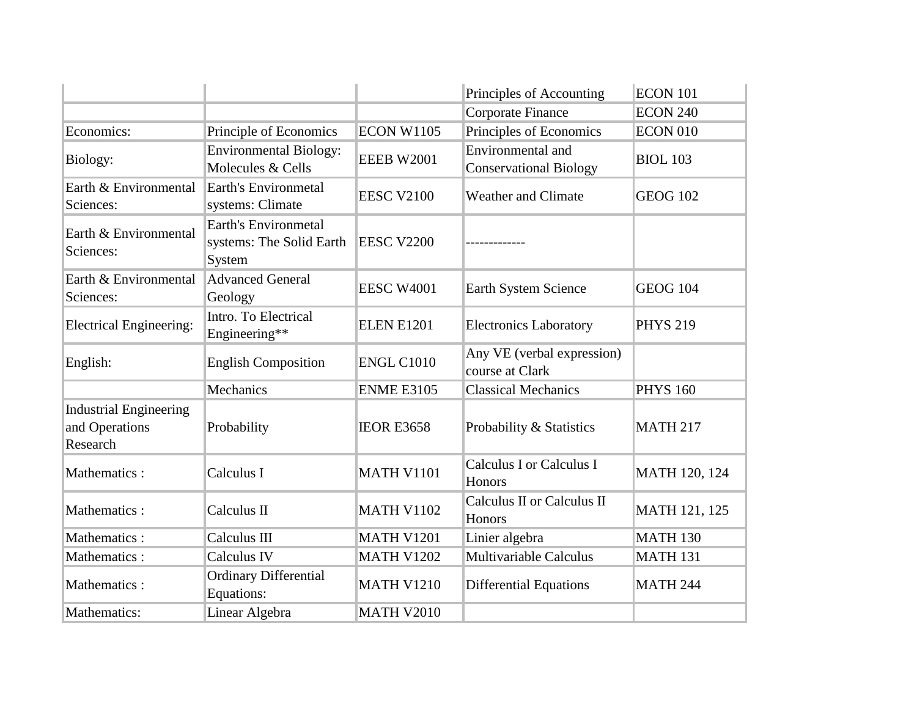|                                                             |                                                                   |                   | Principles of Accounting                           | <b>ECON 101</b> |
|-------------------------------------------------------------|-------------------------------------------------------------------|-------------------|----------------------------------------------------|-----------------|
|                                                             |                                                                   |                   | Corporate Finance                                  | <b>ECON 240</b> |
| Economics:                                                  | Principle of Economics                                            | <b>ECON W1105</b> | Principles of Economics                            | <b>ECON 010</b> |
| Biology:                                                    | <b>Environmental Biology:</b><br>Molecules & Cells                | <b>EEEB W2001</b> | Environmental and<br><b>Conservational Biology</b> | <b>BIOL 103</b> |
| Earth & Environmental<br>Sciences:                          | Earth's Environmetal<br>systems: Climate                          | <b>EESC V2100</b> | <b>Weather and Climate</b>                         | <b>GEOG 102</b> |
| Earth & Environmental<br>Sciences:                          | <b>Earth's Environmetal</b><br>systems: The Solid Earth<br>System | <b>EESC V2200</b> |                                                    |                 |
| Earth & Environmental<br>Sciences:                          | <b>Advanced General</b><br>Geology                                | <b>EESC W4001</b> | <b>Earth System Science</b>                        | <b>GEOG 104</b> |
| <b>Electrical Engineering:</b>                              | Intro. To Electrical<br>Engineering**                             | <b>ELEN E1201</b> | <b>Electronics Laboratory</b>                      | <b>PHYS 219</b> |
| English:                                                    | <b>English Composition</b>                                        | <b>ENGL C1010</b> | Any VE (verbal expression)<br>course at Clark      |                 |
|                                                             | Mechanics                                                         | <b>ENME E3105</b> | <b>Classical Mechanics</b>                         | <b>PHYS 160</b> |
| <b>Industrial Engineering</b><br>and Operations<br>Research | Probability                                                       | <b>IEOR E3658</b> | Probability & Statistics                           | <b>MATH 217</b> |
| Mathematics:                                                | Calculus I                                                        | <b>MATH V1101</b> | <b>Calculus I or Calculus I</b><br>Honors          | MATH 120, 124   |
| Mathematics:                                                | Calculus II                                                       | <b>MATH V1102</b> | Calculus II or Calculus II<br>Honors               | MATH 121, 125   |
| Mathematics:                                                | Calculus III                                                      | <b>MATH V1201</b> | Linier algebra                                     | <b>MATH 130</b> |
| Mathematics:                                                | Calculus IV                                                       | <b>MATH V1202</b> | <b>Multivariable Calculus</b>                      | <b>MATH 131</b> |
| Mathematics :                                               | <b>Ordinary Differential</b><br>Equations:                        | <b>MATH V1210</b> | <b>Differential Equations</b>                      | <b>MATH 244</b> |
| Mathematics:                                                | Linear Algebra                                                    | <b>MATH V2010</b> |                                                    |                 |